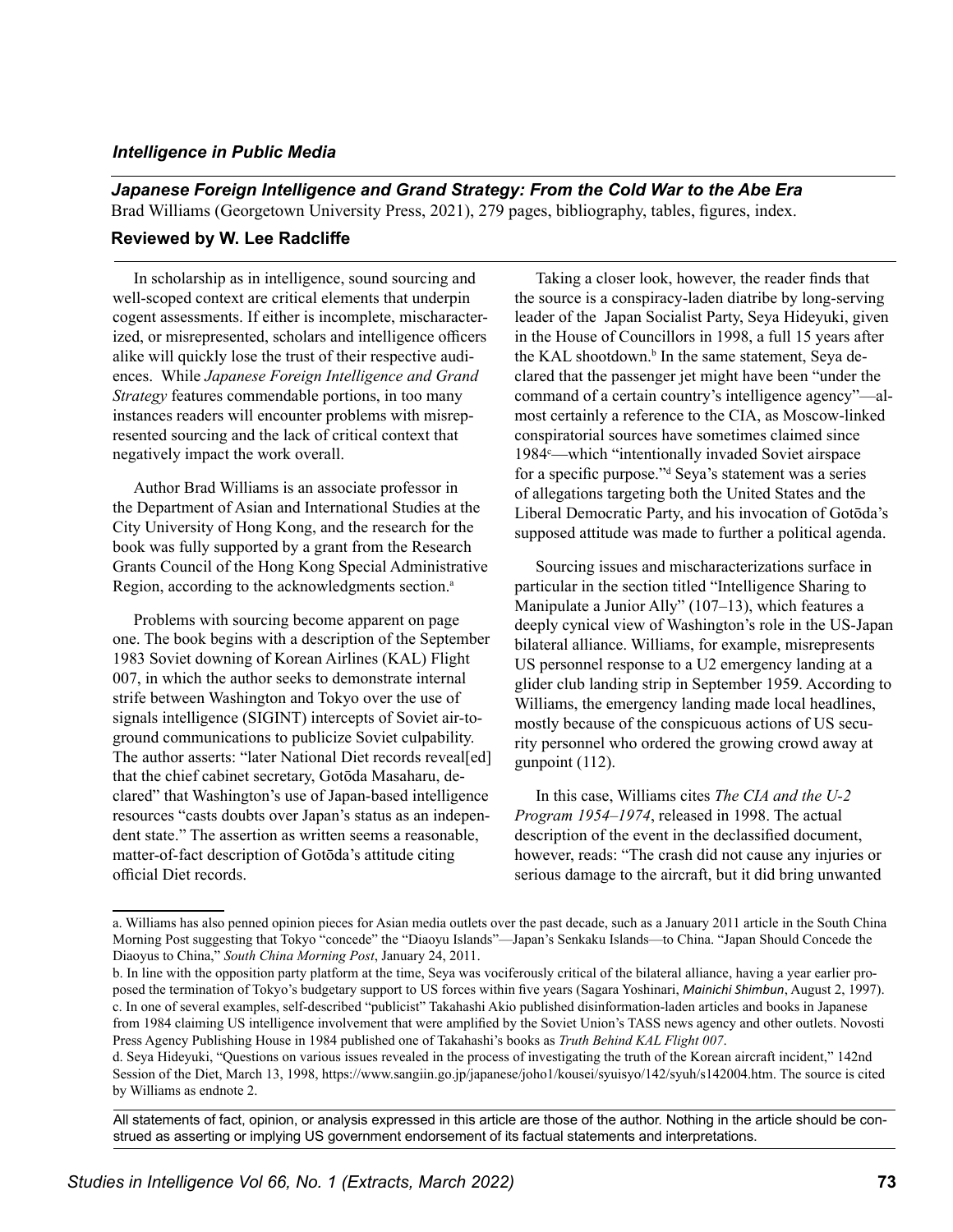## *Intelligence in Public Media*

*Japanese Foreign Intelligence and Grand Strategy: From the Cold War to the Abe Era* Brad Williams (Georgetown University Press, 2021), 279 pages, bibliography, tables, figures, index.

## **Reviewed by W. Lee Radcliffe**

In scholarship as in intelligence, sound sourcing and well-scoped context are critical elements that underpin cogent assessments. If either is incomplete, mischaracterized, or misrepresented, scholars and intelligence officers alike will quickly lose the trust of their respective audiences. While *Japanese Foreign Intelligence and Grand Strategy* features commendable portions, in too many instances readers will encounter problems with misrepresented sourcing and the lack of critical context that negatively impact the work overall.

Author Brad Williams is an associate professor in the Department of Asian and International Studies at the City University of Hong Kong, and the research for the book was fully supported by a grant from the Research Grants Council of the Hong Kong Special Administrative Region, according to the acknowledgments section.<sup>a</sup>

Problems with sourcing become apparent on page one. The book begins with a description of the September 1983 Soviet downing of Korean Airlines (KAL) Flight 007, in which the author seeks to demonstrate internal strife between Washington and Tokyo over the use of signals intelligence (SIGINT) intercepts of Soviet air-toground communications to publicize Soviet culpability. The author asserts: "later National Diet records reveal[ed] that the chief cabinet secretary, Gotōda Masaharu, declared" that Washington's use of Japan-based intelligence resources "casts doubts over Japan's status as an independent state." The assertion as written seems a reasonable, matter-of-fact description of Gotōda's attitude citing official Diet records.

Taking a closer look, however, the reader finds that the source is a conspiracy-laden diatribe by long-serving leader of the Japan Socialist Party, Seya Hideyuki, given in the House of Councillors in 1998, a full 15 years after the KAL shootdown.<sup>b</sup> In the same statement, Seya declared that the passenger jet might have been "under the command of a certain country's intelligence agency"—almost certainly a reference to the CIA, as Moscow-linked conspiratorial sources have sometimes claimed since 1984<sup>c</sup>—which "intentionally invaded Soviet airspace for a specific purpose."<sup>d</sup> Seya's statement was a series of allegations targeting both the United States and the Liberal Democratic Party, and his invocation of Gotōda's supposed attitude was made to further a political agenda.

Sourcing issues and mischaracterizations surface in particular in the section titled "Intelligence Sharing to Manipulate a Junior Ally" (107–13), which features a deeply cynical view of Washington's role in the US-Japan bilateral alliance. Williams, for example, misrepresents US personnel response to a U2 emergency landing at a glider club landing strip in September 1959. According to Williams, the emergency landing made local headlines, mostly because of the conspicuous actions of US security personnel who ordered the growing crowd away at gunpoint (112).

In this case, Williams cites *The CIA and the U-2 Program 1954–1974*, released in 1998. The actual description of the event in the declassified document, however, reads: "The crash did not cause any injuries or serious damage to the aircraft, but it did bring unwanted

All statements of fact, opinion, or analysis expressed in this article are those of the author. Nothing in the article should be construed as asserting or implying US government endorsement of its factual statements and interpretations.

a. Williams has also penned opinion pieces for Asian media outlets over the past decade, such as a January 2011 article in the South China Morning Post suggesting that Tokyo "concede" the "Diaoyu Islands"—Japan's Senkaku Islands—to China. "Japan Should Concede the Diaoyus to China," *South China Morning Post*, January 24, 2011.

b. In line with the opposition party platform at the time, Seya was vociferously critical of the bilateral alliance, having a year earlier proposed the termination of Tokyo's budgetary support to US forces within five years (Sagara Yoshinari, *Mainichi Shimbun*, August 2, 1997). c. In one of several examples, self-described "publicist" Takahashi Akio published disinformation-laden articles and books in Japanese from 1984 claiming US intelligence involvement that were amplified by the Soviet Union's TASS news agency and other outlets. Novosti Press Agency Publishing House in 1984 published one of Takahashi's books as *Truth Behind KAL Flight 007*.

d. Seya Hideyuki, "Questions on various issues revealed in the process of investigating the truth of the Korean aircraft incident," 142nd Session of the Diet, March 13, 1998, https://www.sangiin.go.jp/japanese/joho1/kousei/syuisyo/142/syuh/s142004.htm. The source is cited by Williams as endnote 2.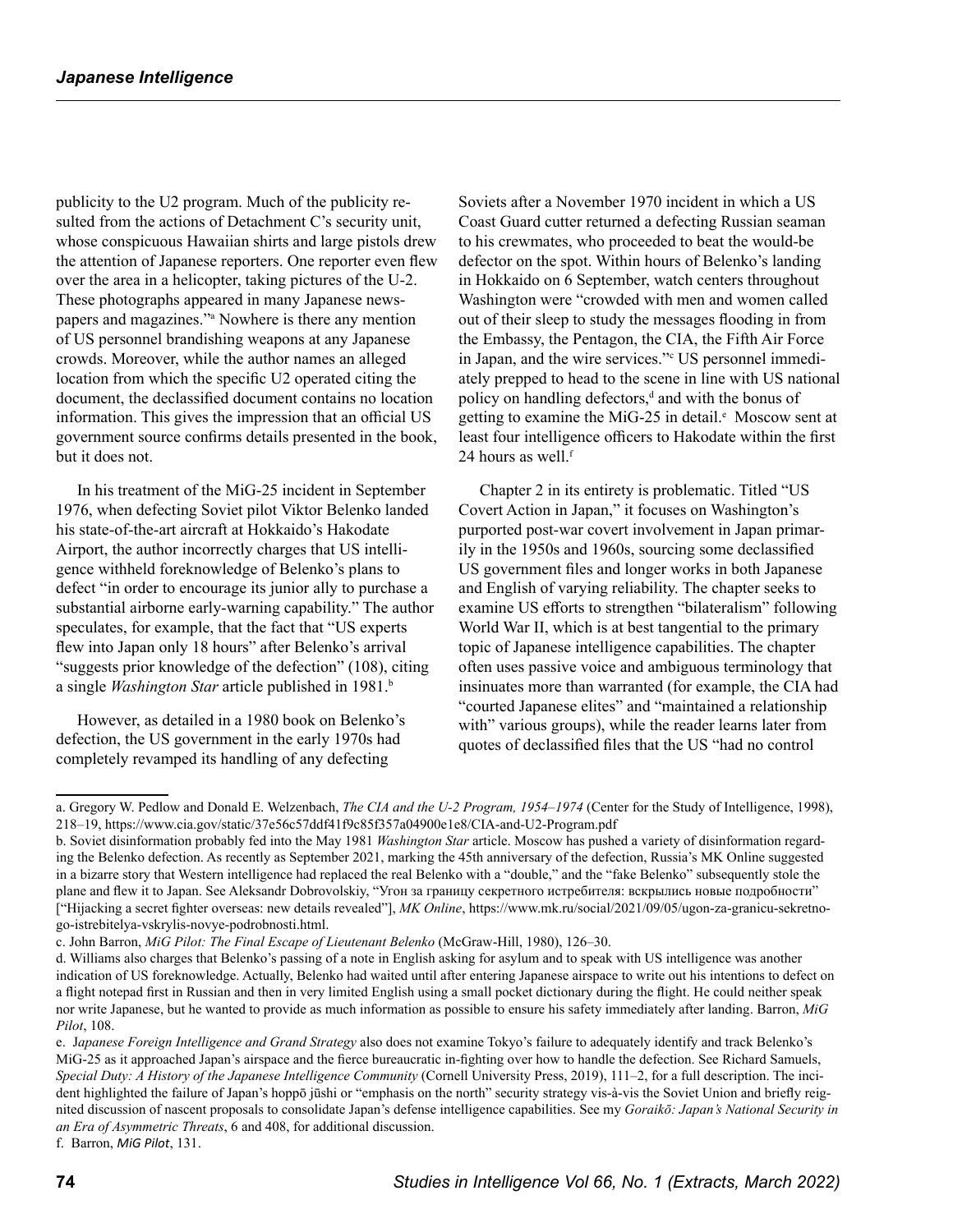publicity to the U2 program. Much of the publicity resulted from the actions of Detachment C's security unit, whose conspicuous Hawaiian shirts and large pistols drew the attention of Japanese reporters. One reporter even flew over the area in a helicopter, taking pictures of the U-2. These photographs appeared in many Japanese newspapers and magazines."a Nowhere is there any mention of US personnel brandishing weapons at any Japanese crowds. Moreover, while the author names an alleged location from which the specific U2 operated citing the document, the declassified document contains no location information. This gives the impression that an official US government source confirms details presented in the book, but it does not.

In his treatment of the MiG-25 incident in September 1976, when defecting Soviet pilot Viktor Belenko landed his state-of-the-art aircraft at Hokkaido's Hakodate Airport, the author incorrectly charges that US intelligence withheld foreknowledge of Belenko's plans to defect "in order to encourage its junior ally to purchase a substantial airborne early-warning capability." The author speculates, for example, that the fact that "US experts flew into Japan only 18 hours" after Belenko's arrival "suggests prior knowledge of the defection" (108), citing a single *Washington Star* article published in 1981.b

However, as detailed in a 1980 book on Belenko's defection, the US government in the early 1970s had completely revamped its handling of any defecting

Soviets after a November 1970 incident in which a US Coast Guard cutter returned a defecting Russian seaman to his crewmates, who proceeded to beat the would-be defector on the spot. Within hours of Belenko's landing in Hokkaido on 6 September, watch centers throughout Washington were "crowded with men and women called out of their sleep to study the messages flooding in from the Embassy, the Pentagon, the CIA, the Fifth Air Force in Japan, and the wire services."<sup>c</sup> US personnel immediately prepped to head to the scene in line with US national policy on handling defectors,<sup>d</sup> and with the bonus of getting to examine the MiG-25 in detail.<sup>e</sup> Moscow sent at least four intelligence officers to Hakodate within the first 24 hours as well.<sup>f</sup>

Chapter 2 in its entirety is problematic. Titled "US Covert Action in Japan," it focuses on Washington's purported post-war covert involvement in Japan primarily in the 1950s and 1960s, sourcing some declassified US government files and longer works in both Japanese and English of varying reliability. The chapter seeks to examine US efforts to strengthen "bilateralism" following World War II, which is at best tangential to the primary topic of Japanese intelligence capabilities. The chapter often uses passive voice and ambiguous terminology that insinuates more than warranted (for example, the CIA had "courted Japanese elites" and "maintained a relationship with" various groups), while the reader learns later from quotes of declassified files that the US "had no control

a. Gregory W. Pedlow and Donald E. Welzenbach, *The CIA and the U-2 Program, 1954–1974* (Center for the Study of Intelligence, 1998), 218–19, https://www.cia.gov/static/37e56c57ddf41f9c85f357a04900e1e8/CIA-and-U2-Program.pdf

b. Soviet disinformation probably fed into the May 1981 *Washington Star* article. Moscow has pushed a variety of disinformation regarding the Belenko defection. As recently as September 2021, marking the 45th anniversary of the defection, Russia's MK Online suggested in a bizarre story that Western intelligence had replaced the real Belenko with a "double," and the "fake Belenko" subsequently stole the plane and flew it to Japan. See Aleksandr Dobrovolskiy, "Угон за границу секретного истребителя: вскрылись новые подробности" ["Hijacking a secret fighter overseas: new details revealed"], *MK Online*, https://www.mk.ru/social/2021/09/05/ugon-za-granicu-sekretnogo-istrebitelya-vskrylis-novye-podrobnosti.html.

c. John Barron, *MiG Pilot: The Final Escape of Lieutenant Belenko* (McGraw-Hill, 1980), 126–30.

d. Williams also charges that Belenko's passing of a note in English asking for asylum and to speak with US intelligence was another indication of US foreknowledge. Actually, Belenko had waited until after entering Japanese airspace to write out his intentions to defect on a flight notepad first in Russian and then in very limited English using a small pocket dictionary during the flight. He could neither speak nor write Japanese, but he wanted to provide as much information as possible to ensure his safety immediately after landing. Barron, *MiG Pilot*, 108.

e. J*apanese Foreign Intelligence and Grand Strategy* also does not examine Tokyo's failure to adequately identify and track Belenko's MiG-25 as it approached Japan's airspace and the fierce bureaucratic in-fighting over how to handle the defection. See Richard Samuels, *Special Duty: A History of the Japanese Intelligence Community* (Cornell University Press, 2019), 111–2, for a full description. The incident highlighted the failure of Japan's hoppō jūshi or "emphasis on the north" security strategy vis-à-vis the Soviet Union and briefly reignited discussion of nascent proposals to consolidate Japan's defense intelligence capabilities. See my *Goraikō: Japan's National Security in an Era of Asymmetric Threats*, 6 and 408, for additional discussion.

f. Barron, *MiG Pilot*, 131.